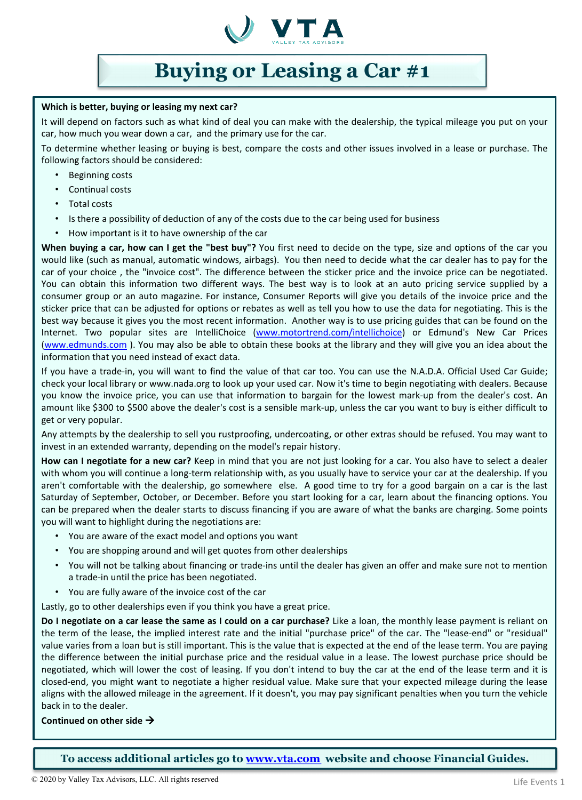

# **Buying or Leasing a Car #1**

#### **Which is better, buying or leasing my next car?**

It will depend on factors such as what kind of deal you can make with the dealership, the typical mileage you put on your car, how much you wear down a car, and the primary use for the car.

To determine whether leasing or buying is best, compare the costs and other issues involved in a lease or purchase. The following factors should be considered:

- Beginning costs
- Continual costs
- Total costs
- Is there a possibility of deduction of any of the costs due to the car being used for business
- How important is it to have ownership of the car

**When buying a car, how can I get the "best buy"?** You first need to decide on the type, size and options of the car you would like (such as manual, automatic windows, airbags). You then need to decide what the car dealer has to pay for the car of your choice , the "invoice cost". The difference between the sticker price and the invoice price can be negotiated. You can obtain this information two different ways. The best way is to look at an auto pricing service supplied by a consumer group or an auto magazine. For instance, Consumer Reports will give you details of the invoice price and the sticker price that can be adjusted for options or rebates as well as tell you how to use the data for negotiating. This is the best way because it gives you the most recent information. Another way is to use pricing guides that can be found on the Internet. Two popular sites are IntelliChoice [\(www.motortrend.com/intellichoice](http://www.motortrend.com/intellichoice)) or Edmund's New Car Prices [\(www.edmunds.com](http://www.edmunds.com/) ). You may also be able to obtain these books at the library and they will give you an idea about the information that you need instead of exact data.

If you have a trade-in, you will want to find the value of that car too. You can use the N.A.D.A. Official Used Car Guide; check your local library or www.nada.org to look up your used car. Now it's time to begin negotiating with dealers. Because you know the invoice price, you can use that information to bargain for the lowest mark-up from the dealer's cost. An amount like \$300 to \$500 above the dealer's cost is a sensible mark-up, unless the car you want to buy is either difficult to get or very popular.

Any attempts by the dealership to sell you rustproofing, undercoating, or other extras should be refused. You may want to invest in an extended warranty, depending on the model's repair history.

**How can I negotiate for a new car?** Keep in mind that you are not just looking for a car. You also have to select a dealer with whom you will continue a long-term relationship with, as you usually have to service your car at the dealership. If you aren't comfortable with the dealership, go somewhere else. A good time to try for a good bargain on a car is the last Saturday of September, October, or December. Before you start looking for a car, learn about the financing options. You can be prepared when the dealer starts to discuss financing if you are aware of what the banks are charging. Some points you will want to highlight during the negotiations are:

- You are aware of the exact model and options you want
- You are shopping around and will get quotes from other dealerships
- You will not be talking about financing or trade-ins until the dealer has given an offer and make sure not to mention a trade-in until the price has been negotiated.
- You are fully aware of the invoice cost of the car

Lastly, go to other dealerships even if you think you have a great price.

Do I negotiate on a car lease the same as I could on a car purchase? Like a loan, the monthly lease payment is reliant on the term of the lease, the implied interest rate and the initial "purchase price" of the car. The "lease-end" or "residual" value varies from a loan but is still important. This is the value that is expected at the end of the lease term. You are paying the difference between the initial purchase price and the residual value in a lease. The lowest purchase price should be negotiated, which will lower the cost of leasing. If you don't intend to buy the car at the end of the lease term and it is closed-end, you might want to negotiate a higher residual value. Make sure that your expected mileage during the lease aligns with the allowed mileage in the agreement. If it doesn't, you may pay significant penalties when you turn the vehicle back in to the dealer.

### **Continued on other side**

**To access additional articles go to [www.vta.com](http://www.vta.com/) website and choose Financial Guides.**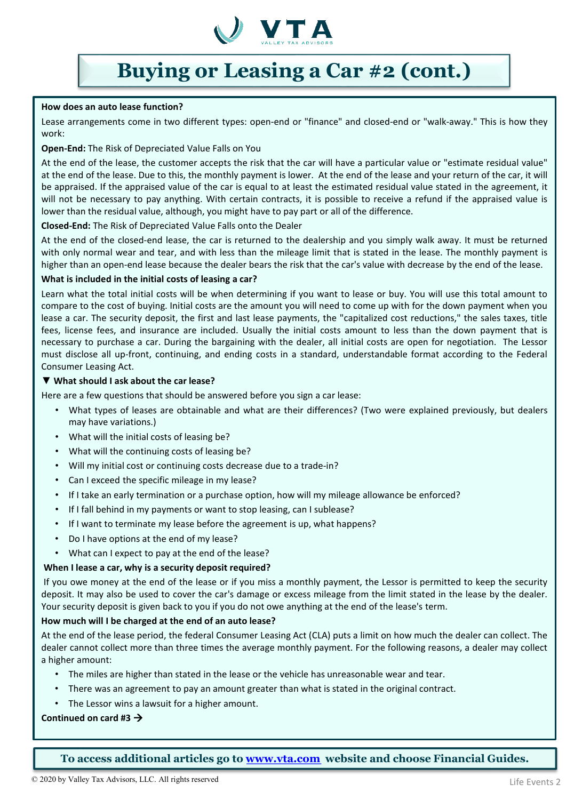

## **Buying or Leasing a Car #2 (cont.)**

#### **How does an auto lease function?**

Lease arrangements come in two different types: open-end or "finance" and closed-end or "walk-away." This is how they work:

#### **Open-End:** The Risk of Depreciated Value Falls on You

At the end of the lease, the customer accepts the risk that the car will have a particular value or "estimate residual value" at the end of the lease. Due to this, the monthly payment is lower. At the end of the lease and your return of the car, it will be appraised. If the appraised value of the car is equal to at least the estimated residual value stated in the agreement, it will not be necessary to pay anything. With certain contracts, it is possible to receive a refund if the appraised value is lower than the residual value, although, you might have to pay part or all of the difference.

#### **Closed-End:** The Risk of Depreciated Value Falls onto the Dealer

At the end of the closed-end lease, the car is returned to the dealership and you simply walk away. It must be returned with only normal wear and tear, and with less than the mileage limit that is stated in the lease. The monthly payment is higher than an open-end lease because the dealer bears the risk that the car's value with decrease by the end of the lease.

#### **What is included in the initial costs of leasing a car?**

Learn what the total initial costs will be when determining if you want to lease or buy. You will use this total amount to compare to the cost of buying. Initial costs are the amount you will need to come up with for the down payment when you lease a car. The security deposit, the first and last lease payments, the "capitalized cost reductions," the sales taxes, title fees, license fees, and insurance are included. Usually the initial costs amount to less than the down payment that is necessary to purchase a car. During the bargaining with the dealer, all initial costs are open for negotiation. The Lessor must disclose all up-front, continuing, and ending costs in a standard, understandable format according to the Federal Consumer Leasing Act.

#### ▼ **What should I ask about the car lease?**

Here are a few questions that should be answered before you sign a car lease:

- What types of leases are obtainable and what are their differences? (Two were explained previously, but dealers may have variations.)
- What will the initial costs of leasing be?
- What will the continuing costs of leasing be?
- Will my initial cost or continuing costs decrease due to a trade-in?
- Can I exceed the specific mileage in my lease?
- If I take an early termination or a purchase option, how will my mileage allowance be enforced?
- If I fall behind in my payments or want to stop leasing, can I sublease?
- If I want to terminate my lease before the agreement is up, what happens?
- Do I have options at the end of my lease?
- What can I expect to pay at the end of the lease?

#### **When I lease a car, why is a security deposit required?**

If you owe money at the end of the lease or if you miss a monthly payment, the Lessor is permitted to keep the security deposit. It may also be used to cover the car's damage or excess mileage from the limit stated in the lease by the dealer. Your security deposit is given back to you if you do not owe anything at the end of the lease's term.

#### **How much will I be charged at the end of an auto lease?**

At the end of the lease period, the federal Consumer Leasing Act (CLA) puts a limit on how much the dealer can collect. The dealer cannot collect more than three times the average monthly payment. For the following reasons, a dealer may collect a higher amount:

- The miles are higher than stated in the lease or the vehicle has unreasonable wear and tear.
- There was an agreement to pay an amount greater than what is stated in the original contract.
- The Lessor wins a lawsuit for a higher amount.

### **Continued on card #3**

**To access additional articles go to [www.vta.com](http://www.vta.com/) website and choose Financial Guides.**